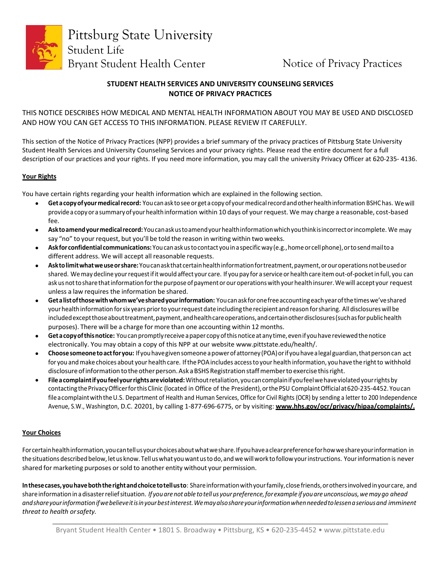

Pittsburg State University Student Life Bryant Student Health Center Notice of Privacy Practices

# **STUDENT HEALTH SERVICES AND UNIVERSITY COUNSELING SERVICES NOTICE OF PRIVACY PRACTICES**

# THIS NOTICE DESCRIBES HOW MEDICAL AND MENTAL HEALTH INFORMATION ABOUT YOU MAY BE USED AND DISCLOSED AND HOW YOU CAN GET ACCESS TO THIS INFORMATION. PLEASE REVIEW IT CAREFULLY.

This section of the Notice of Privacy Practices (NPP) provides a brief summary of the privacy practices of Pittsburg State University Student Health Services and University Counseling Services and your privacy rights. Please read the entire document for a full description of our practices and your rights. If you need more information, you may call the university Privacy Officer at 620-235-4136.

## **Your Rights**

You have certain rights regarding your health information which are explained in the following section.

- **Getacopyofyourmedicalrecord:** Youcanask toseeorgetacopyofyourmedicalrecordandotherhealthinformation BSHChas. Wewill provide a copy or a summary of your health information within 10 days of your request. We may charge a reasonable, cost-based fee.
- **Asktoamendyourmedicalrecord:**Youcanaskustoamendyourhealthinformationwhichyouthinkisincorrectorincomplete. We may say "no" to your request, but you'll be told the reason in writing within two weeks.
- **Askfor confidential communications:**Youcanaskustocontact youinaspecificway(e.g.,homeor cellphone),ortosendmailtoa different address. We will accept all reasonable requests.
- **Asktolimitwhatweuseorshare:**Youcanaskthatcertainhealthinformationfortreatment,payment,orouroperations notbeusedor shared. We may decline your request if it would affect your care. If you pay for a service or health care item out-of-pocket in full, you can ask us not to share that information for the purpose of payment or our operations with your health insurer. We will accept your request unless a law requires the information be shared.
- **Getalistofthosewithwhomwe'vesharedyourinformation:** Youcanaskforonefreeaccountingeachyearofthetimeswe'veshared your health information for six years prior to your request date including the recipient and reason for sharing. All disclosures will be included except those about treatment, payment, and health care operations, and certain other disclosures (such as for public health purposes). There will be a charge for more than one accounting within 12 months.
- Get a copy of this notice: You can promptly receive a paper copy of this notice at any time, even if you have reviewed the notice electronically. You may obtain a copy of this NPP at our website www.pittstate.edu/health/.
- **Choosesomeonetoactforyou:** Ifyouhavegivensomeone apowerofattorney(POA)orif youhavealegalguardian,thatpersoncan act for you and make choices about your health care. If the POA includes access to your health information, you have the right to withhold disclosure of information to the other person. Ask a BSHS Registration staff member to exercise this right.
- **Fileacomplaintifyoufeelyourrightsareviolated:**Withoutretaliation,youcancomplainifyoufeelwehaveviolatedyourrightsby contacting the Privacy Officer for this Clinic (located in Office of the President), or the PSU Complaint Official at 620-235-4452. You can fileacomplaintwiththeU.S. Department of Health and Human Services, Office for Civil Rights (OCR) by sending a letter to 200 Independence Avenue, S.W., Washington, D.C. 20201, by calling 1‐877‐696‐6775, or by visiting: **www.hhs.gov/ocr/privacy/hipaa/complaints/.**

## **Your Choices**

Forcertainhealthinformation,youcantellusyourchoicesaboutwhatweshare.Ifyouhaveaclearpreferenceforhowweshareyourinformation in the situations described below, let us know. Tell us what you want us to do, and we will work to follow your instructions. Your information is never shared for marketing purposes orsold to another entity without your permission.

**Inthesecases,youhaveboththerightandchoicetotellusto**: Shareinformationwithyourfamily,closefriends,orothersinvolvedinyourcare, and shareinformationinadisasterreliefsituation. *If youarenot able totell us yourpreference,forexample if youare unconscious,wemaygo ahead andshareyourinformationifwebelieveitisinyourbestinterest.Wemayalsoshareyourinformationwhenneededtolessenaseriousand imminent threat to health orsafety.*